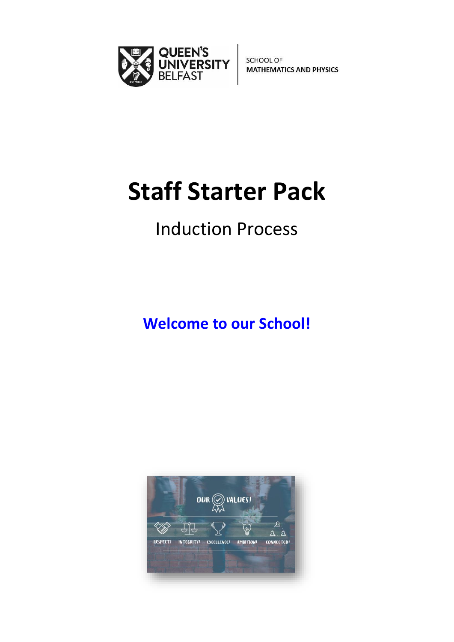

**SCHOOL OF MATHEMATICS AND PHYSICS** 

# **Staff Starter Pack**

## Induction Process

**Welcome to our School!**

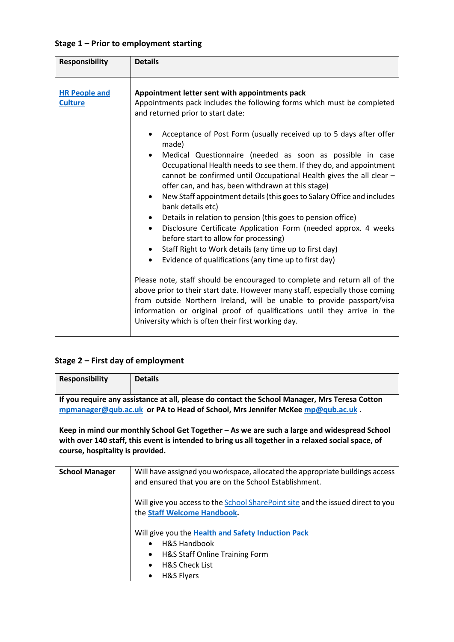| <b>Responsibility</b>                  | <b>Details</b>                                                                                                                                                                                                                                                                                                                                                                                                                                                                                                                                                                                                                                                                                                                                                                                                                                                                                                                                                                                                                                                                                                                                                                                                                                                                                                                                      |
|----------------------------------------|-----------------------------------------------------------------------------------------------------------------------------------------------------------------------------------------------------------------------------------------------------------------------------------------------------------------------------------------------------------------------------------------------------------------------------------------------------------------------------------------------------------------------------------------------------------------------------------------------------------------------------------------------------------------------------------------------------------------------------------------------------------------------------------------------------------------------------------------------------------------------------------------------------------------------------------------------------------------------------------------------------------------------------------------------------------------------------------------------------------------------------------------------------------------------------------------------------------------------------------------------------------------------------------------------------------------------------------------------------|
| <b>HR People and</b><br><b>Culture</b> | Appointment letter sent with appointments pack<br>Appointments pack includes the following forms which must be completed<br>and returned prior to start date:<br>Acceptance of Post Form (usually received up to 5 days after offer<br>made)<br>Medical Questionnaire (needed as soon as possible in case<br>$\bullet$<br>Occupational Health needs to see them. If they do, and appointment<br>cannot be confirmed until Occupational Health gives the all clear -<br>offer can, and has, been withdrawn at this stage)<br>New Staff appointment details (this goes to Salary Office and includes<br>$\bullet$<br>bank details etc)<br>Details in relation to pension (this goes to pension office)<br>Disclosure Certificate Application Form (needed approx. 4 weeks<br>$\bullet$<br>before start to allow for processing)<br>Staff Right to Work details (any time up to first day)<br>$\bullet$<br>Evidence of qualifications (any time up to first day)<br>$\bullet$<br>Please note, staff should be encouraged to complete and return all of the<br>above prior to their start date. However many staff, especially those coming<br>from outside Northern Ireland, will be unable to provide passport/visa<br>information or original proof of qualifications until they arrive in the<br>University which is often their first working day. |
|                                        |                                                                                                                                                                                                                                                                                                                                                                                                                                                                                                                                                                                                                                                                                                                                                                                                                                                                                                                                                                                                                                                                                                                                                                                                                                                                                                                                                     |

#### **Stage 2 – First day of employment**

| <b>Responsibility</b>                                                                                                                                                                                                                 | <b>Details</b>                                                                                                                                                                     |  |
|---------------------------------------------------------------------------------------------------------------------------------------------------------------------------------------------------------------------------------------|------------------------------------------------------------------------------------------------------------------------------------------------------------------------------------|--|
| If you require any assistance at all, please do contact the School Manager, Mrs Teresa Cotton<br>mpmanager@qub.ac.uk or PA to Head of School, Mrs Jennifer McKee mp@qub.ac.uk.                                                        |                                                                                                                                                                                    |  |
| Keep in mind our monthly School Get Together - As we are such a large and widespread School<br>with over 140 staff, this event is intended to bring us all together in a relaxed social space, of<br>course, hospitality is provided. |                                                                                                                                                                                    |  |
| <b>School Manager</b>                                                                                                                                                                                                                 | Will have assigned you workspace, allocated the appropriate buildings access<br>and ensured that you are on the School Establishment.                                              |  |
|                                                                                                                                                                                                                                       | Will give you access to the School SharePoint site and the issued direct to you<br>the Staff Welcome Handbook.                                                                     |  |
|                                                                                                                                                                                                                                       | Will give you the Health and Safety Induction Pack<br><b>H&amp;S Handbook</b><br>H&S Staff Online Training Form<br>$\bullet$<br><b>H&amp;S Check List</b><br><b>H&amp;S Flyers</b> |  |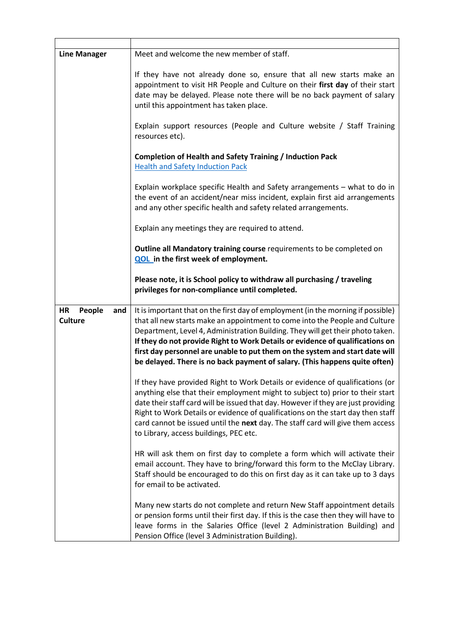| <b>Line Manager</b>                          | Meet and welcome the new member of staff.                                                                                                                                                                                                                                                                                                                                                                                                                                                        |
|----------------------------------------------|--------------------------------------------------------------------------------------------------------------------------------------------------------------------------------------------------------------------------------------------------------------------------------------------------------------------------------------------------------------------------------------------------------------------------------------------------------------------------------------------------|
|                                              | If they have not already done so, ensure that all new starts make an<br>appointment to visit HR People and Culture on their first day of their start<br>date may be delayed. Please note there will be no back payment of salary<br>until this appointment has taken place.<br>Explain support resources (People and Culture website / Staff Training<br>resources etc).                                                                                                                         |
|                                              | <b>Completion of Health and Safety Training / Induction Pack</b>                                                                                                                                                                                                                                                                                                                                                                                                                                 |
|                                              | <b>Health and Safety Induction Pack</b>                                                                                                                                                                                                                                                                                                                                                                                                                                                          |
|                                              | Explain workplace specific Health and Safety arrangements - what to do in<br>the event of an accident/near miss incident, explain first aid arrangements<br>and any other specific health and safety related arrangements.                                                                                                                                                                                                                                                                       |
|                                              | Explain any meetings they are required to attend.                                                                                                                                                                                                                                                                                                                                                                                                                                                |
|                                              | Outline all Mandatory training course requirements to be completed on<br><b>QOL</b> in the first week of employment.                                                                                                                                                                                                                                                                                                                                                                             |
|                                              | Please note, it is School policy to withdraw all purchasing / traveling<br>privileges for non-compliance until completed.                                                                                                                                                                                                                                                                                                                                                                        |
| <b>HR</b><br>People<br>and<br><b>Culture</b> | It is important that on the first day of employment (in the morning if possible)<br>that all new starts make an appointment to come into the People and Culture<br>Department, Level 4, Administration Building. They will get their photo taken.<br>If they do not provide Right to Work Details or evidence of qualifications on<br>first day personnel are unable to put them on the system and start date will<br>be delayed. There is no back payment of salary. (This happens quite often) |
|                                              | If they have provided Right to Work Details or evidence of qualifications (or<br>anything else that their employment might to subject to) prior to their start<br>date their staff card will be issued that day. However if they are just providing<br>Right to Work Details or evidence of qualifications on the start day then staff<br>card cannot be issued until the next day. The staff card will give them access<br>to Library, access buildings, PEC etc.                               |
|                                              | HR will ask them on first day to complete a form which will activate their<br>email account. They have to bring/forward this form to the McClay Library.<br>Staff should be encouraged to do this on first day as it can take up to 3 days<br>for email to be activated.                                                                                                                                                                                                                         |
|                                              | Many new starts do not complete and return New Staff appointment details<br>or pension forms until their first day. If this is the case then they will have to<br>leave forms in the Salaries Office (level 2 Administration Building) and<br>Pension Office (level 3 Administration Building).                                                                                                                                                                                                  |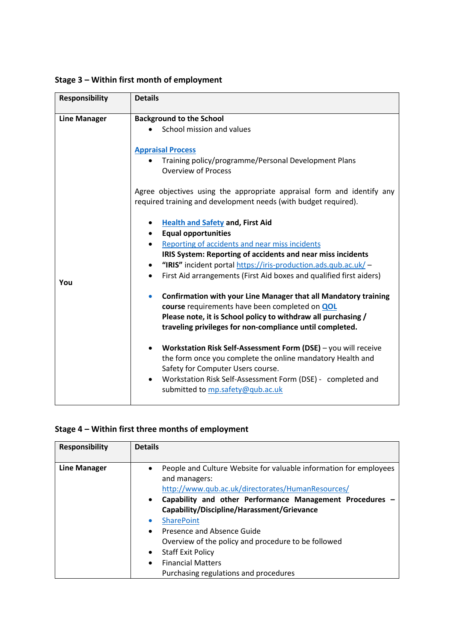**Stage 3 – Within first month of employment**

| <b>Responsibility</b> | <b>Details</b>                                                                                                                            |
|-----------------------|-------------------------------------------------------------------------------------------------------------------------------------------|
| <b>Line Manager</b>   | <b>Background to the School</b>                                                                                                           |
|                       | School mission and values                                                                                                                 |
|                       | <b>Appraisal Process</b><br>Training policy/programme/Personal Development Plans                                                          |
|                       | <b>Overview of Process</b>                                                                                                                |
|                       | Agree objectives using the appropriate appraisal form and identify any<br>required training and development needs (with budget required). |
|                       | <b>Health and Safety and, First Aid</b>                                                                                                   |
|                       | <b>Equal opportunities</b><br>$\bullet$                                                                                                   |
|                       | Reporting of accidents and near miss incidents<br>$\bullet$                                                                               |
|                       | <b>IRIS System: Reporting of accidents and near miss incidents</b>                                                                        |
|                       | "IRIS" incident portal https://iris-production.ads.qub.ac.uk/-<br>$\bullet$                                                               |
| You                   | First Aid arrangements (First Aid boxes and qualified first aiders)<br>$\bullet$                                                          |
|                       | <b>Confirmation with your Line Manager that all Mandatory training</b><br>$\bullet$                                                       |
|                       | course requirements have been completed on QOL                                                                                            |
|                       | Please note, it is School policy to withdraw all purchasing /<br>traveling privileges for non-compliance until completed.                 |
|                       |                                                                                                                                           |
|                       | Workstation Risk Self-Assessment Form (DSE) - you will receive<br>$\bullet$                                                               |
|                       | the form once you complete the online mandatory Health and                                                                                |
|                       | Safety for Computer Users course.                                                                                                         |
|                       | Workstation Risk Self-Assessment Form (DSE) - completed and<br>$\bullet$<br>submitted to mp.safety@qub.ac.uk                              |

#### **Stage 4 – Within first three months of employment**

| <b>Responsibility</b> | <b>Details</b>                                                                                                                          |
|-----------------------|-----------------------------------------------------------------------------------------------------------------------------------------|
| <b>Line Manager</b>   | People and Culture Website for valuable information for employees<br>and managers:<br>http://www.qub.ac.uk/directorates/HumanResources/ |
|                       | Capability and other Performance Management Procedures -<br>$\bullet$<br>Capability/Discipline/Harassment/Grievance                     |
|                       | <b>SharePoint</b><br>$\bullet$                                                                                                          |
|                       | Presence and Absence Guide<br>$\bullet$                                                                                                 |
|                       | Overview of the policy and procedure to be followed                                                                                     |
|                       | <b>Staff Exit Policy</b><br>$\bullet$                                                                                                   |
|                       | <b>Financial Matters</b><br>$\bullet$                                                                                                   |
|                       | Purchasing regulations and procedures                                                                                                   |